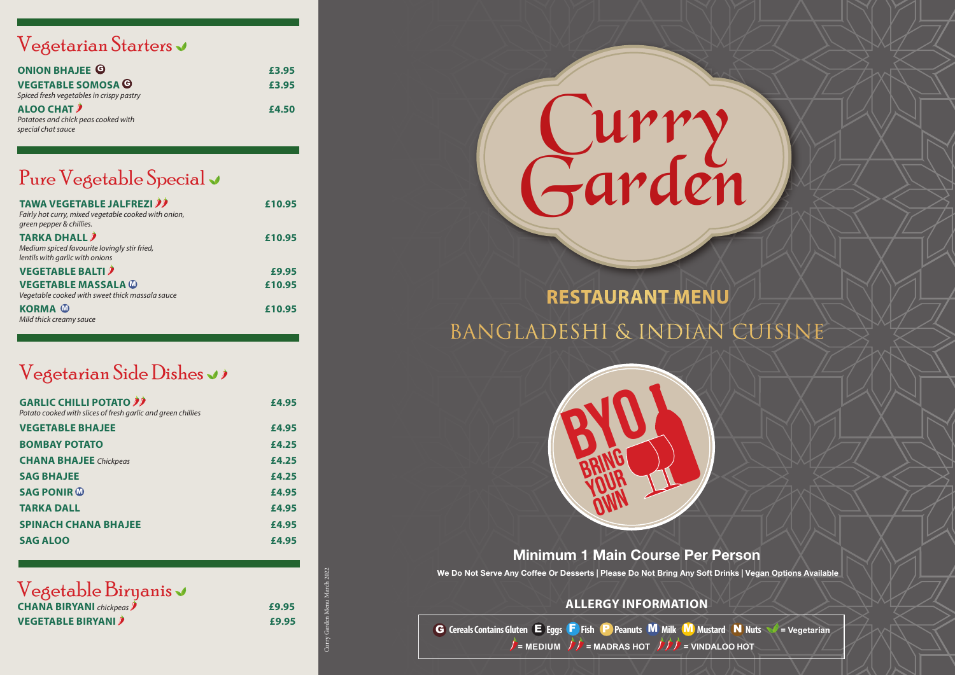# Curry Pure Vegetable Special v<br>TAWA VEGETABLE JALFREZI")<br>Gran pepper & chillies.<br>green pepper & chillies.

| <b>TAWA VEGETABLE JALFREZI</b><br>Fairly hot curry, mixed vegetable cooked with onion,<br>green pepper & chillies. | £10.95 |
|--------------------------------------------------------------------------------------------------------------------|--------|
| <b>TARKA DHALL</b><br>Medium spiced favourite lovingly stir fried,<br>lentils with garlic with onions              | £10.95 |
| <b>VEGETABLE BALTI</b>                                                                                             | £9.95  |
| <b>VEGETABLE MASSALA @</b><br>Vegetable cooked with sweet thick massala sauce                                      | £10.95 |
| <b>KORMA W</b><br>Mild thick creamy sauce                                                                          | £10.95 |

### Vegetarian Starters

# **RESTAURANT MENU** Bangladeshi & Indian cuisine

| <b>ONION BHAJEE G</b>                                     | £3.95 |
|-----------------------------------------------------------|-------|
| <b>VEGETABLE SOMOSA G</b>                                 | £3.95 |
| Spiced fresh vegetables in crispy pastry                  |       |
| ALOO CHAT                                                 | £4.50 |
| Potatoes and chick peas cooked with<br>special chat sauce |       |

G **Cereals Contains Gluten**  E **Eggs**  F **Fish**  P **Peanuts**  M **Milk**  M **Mustard**  N **Nuts = Vegetarian**  $\hat{J}$  = MEDIUM  $\hat{J}$  = MADRAS HOT  $\hat{J}$   $\hat{J}$  = VINDALOO HOT

#### Minimum 1 Main Course Per Person We Do Not Serve Any Coffee Or Desserts | Please Do Not Bring Any Soft Drinks | Vegan Options Available

| <b>CHANA BIRYANI</b> chickpeas <b>)</b> | £9.95 |
|-----------------------------------------|-------|
| <b>VEGETABLE BIRYANI</b>                | £9.95 |

| <b>GARLIC CHILLI POTATO</b><br>Potato cooked with slices of fresh garlic and green chillies | £4.95 |
|---------------------------------------------------------------------------------------------|-------|
| <b>VEGETABLE BHAJEE</b>                                                                     | £4.95 |
| <b>BOMBAY POTATO</b>                                                                        | £4.25 |
| <b>CHANA BHAJEE</b> Chickpeas                                                               | £4.25 |
| <b>SAG BHAJEE</b>                                                                           | £4.25 |
| <b>SAG PONIR ®</b>                                                                          | £4.95 |
| <b>TARKA DALL</b>                                                                           | £4.95 |
| <b>SPINACH CHANA BHAJEE</b>                                                                 | £4.95 |
| <b>SAG ALOO</b>                                                                             | £4.95 |

### Vegetable Biryanis v

## Vegetarian Side Dishes



Curry Garden Menu March 2022